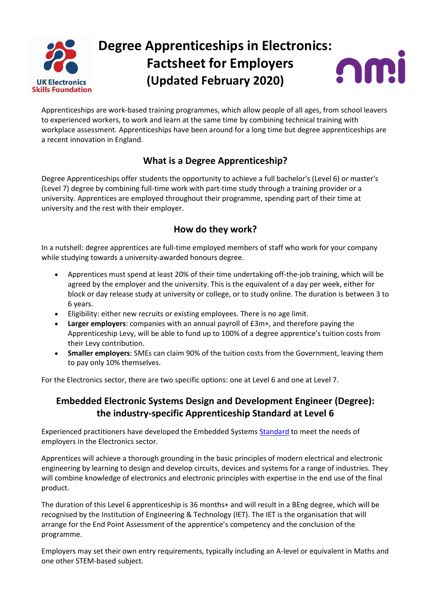

# **Degree Apprenticeships in Electronics: Factsheet for Employers (Updated February 2020)**



Apprenticeships are work-based training programmes, which allow people of all ages, from school leavers to experienced workers, to work and learn at the same time by combining technical training with workplace assessment. Apprenticeships have been around for a long time but degree apprenticeships are a recent innovation in England.

# **What is a Degree Apprenticeship?**

Degree Apprenticeships offer students the opportunity to achieve a full bachelor's (Level 6) or master's (Level 7) degree by combining full-time work with part-time study through a training provider or a university. Apprentices are employed throughout their programme, spending part of their time at university and the rest with their employer.

### **How do they work?**

In a nutshell: degree apprentices are full-time employed members of staff who work for your company while studying towards a university-awarded honours degree.

- Apprentices must spend at least 20% of their time undertaking off-the-job training, which will be agreed by the employer and the university. This is the equivalent of a day per week, either for block or day release study at university or college, or to study online. The duration is between 3 to 6 years.
- Eligibility: either new recruits or existing employees. There is no age limit.
- **Larger employers**: companies with an annual payroll of £3m+, and therefore paying the Apprenticeship Levy, will be able to fund up to 100% of a degree apprentice's tuition costs from their Levy contribution.
- **Smaller employers**: SMEs can claim 90% of the tuition costs from the Government, leaving them to pay only 10% themselves.

For the Electronics sector, there are two specific options: one at Level 6 and one at Level 7.

#### **Embedded Electronic Systems Design and Development Engineer (Degree): the industry-specific Apprenticeship Standard at Level 6**

Experienced practitioners have developed the Embedded Systems [Standard](https://www.instituteforapprenticeships.org/apprenticeship-standards/embedded-electronic-systems-design-and-development-engineer-degree/) to meet the needs of employers in the Electronics sector.

Apprentices will achieve a thorough grounding in the basic principles of modern electrical and electronic engineering by learning to design and develop circuits, devices and systems for a range of industries. They will combine knowledge of electronics and electronic principles with expertise in the end use of the final product.

The duration of this Level 6 apprenticeship is 36 months+ and will result in a BEng degree, which will be recognised by the Institution of Engineering & Technology (IET). The IET is the organisation that will arrange for the End Point Assessment of the apprentice's competency and the conclusion of the programme.

Employers may set their own entry requirements, typically including an A-level or equivalent in Maths and one other STEM-based subject.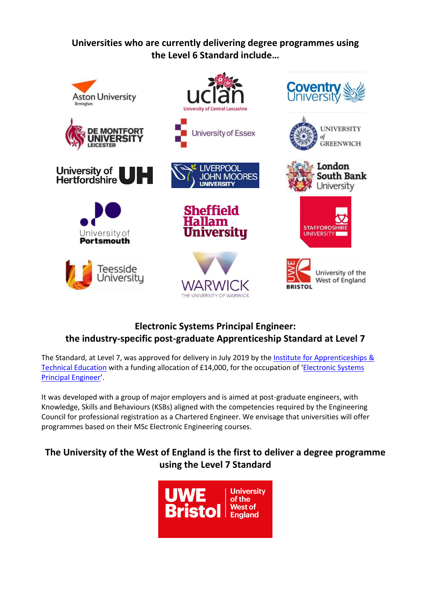**Universities who are currently delivering degree programmes using the Level 6 Standard include…**



# **Electronic Systems Principal Engineer: the industry-specific post-graduate Apprenticeship Standard at Level 7**

The Standard, at Level 7, was approved for delivery in July 2019 by the Institute for Apprenticeships & [Technical Education](https://www.instituteforapprenticeships.org/) with a funding allocation of £14,000, for the occupation of '[Electronic Systems](https://www.instituteforapprenticeships.org/apprenticeship-standards/electronic-systems-principal-engineer/)  [Principal Engineer](https://www.instituteforapprenticeships.org/apprenticeship-standards/electronic-systems-principal-engineer/)'.

It was developed with a group of major employers and is aimed at post-graduate engineers, with Knowledge, Skills and Behaviours (KSBs) aligned with the competencies required by the Engineering Council for professional registration as a Chartered Engineer. We envisage that universities will offer programmes based on their MSc Electronic Engineering courses.

## **The University of the West of England is the first to deliver a degree programme using the Level 7 Standard**